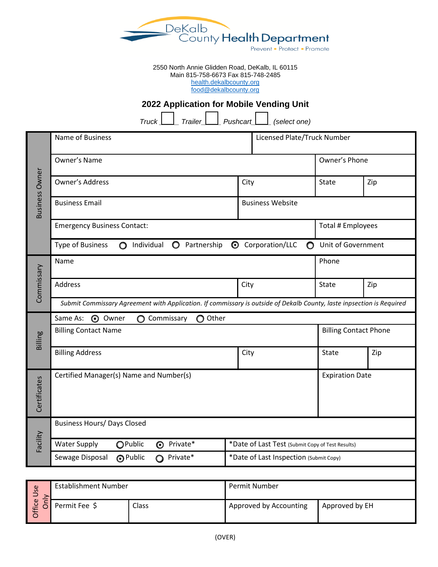

2550 North Annie Glidden Road, DeKalb, IL 60115 Main 815-758-6673 Fax 815-748-2485 [health.dekalbcounty.org](file://///BARNEY/EnvironHealth$/Food%20information/Applications/Applications%20Template/health.dekalbcounty.org)

[food@dekalbcounty.org](mailto:food@dekalbcounty.org)

# **2022 Application for Mobile Vending Unit**

*Truck \_\_\_\_\_ Trailer\_\_\_\_\_ Pushcart\_\_\_\_\_ (select one)*

| <b>Business Owner</b> | Name of Business                                                                                                           |                                                  | Licensed Plate/Truck Number  |                   |  |  |  |
|-----------------------|----------------------------------------------------------------------------------------------------------------------------|--------------------------------------------------|------------------------------|-------------------|--|--|--|
|                       | Owner's Name                                                                                                               |                                                  |                              | Owner's Phone     |  |  |  |
|                       | Owner's Address                                                                                                            | City                                             | State                        | Zip               |  |  |  |
|                       | <b>Business Email</b><br><b>Business Website</b>                                                                           |                                                  |                              |                   |  |  |  |
|                       | <b>Emergency Business Contact:</b>                                                                                         |                                                  |                              | Total # Employees |  |  |  |
|                       | <b>Type of Business</b><br>Unit of Government<br>Individual<br>Partnership<br>C Corporation/LLC<br>$\circ$<br>$\circ$<br>O |                                                  |                              |                   |  |  |  |
|                       | Name                                                                                                                       | Phone                                            |                              |                   |  |  |  |
| Commissary            | Address                                                                                                                    | City                                             | <b>State</b>                 | Zip               |  |  |  |
|                       | Submit Commissary Agreement with Application. If commissary is outside of Dekalb County, laste inpsection is Required      |                                                  |                              |                   |  |  |  |
|                       | Same As:<br><b>O</b> Owner<br>O Other<br>◯ Commissary                                                                      |                                                  |                              |                   |  |  |  |
|                       |                                                                                                                            |                                                  |                              |                   |  |  |  |
|                       | <b>Billing Contact Name</b>                                                                                                |                                                  | <b>Billing Contact Phone</b> |                   |  |  |  |
| Billing               | <b>Billing Address</b>                                                                                                     | City                                             | State                        | Zip               |  |  |  |
| Certificates          | Certified Manager(s) Name and Number(s)                                                                                    |                                                  | <b>Expiration Date</b>       |                   |  |  |  |
|                       | <b>Business Hours/ Days Closed</b>                                                                                         |                                                  |                              |                   |  |  |  |
|                       | <b>Water Supply</b><br>OPublic<br><b>O</b> Private*                                                                        | *Date of Last Test (Submit Copy of Test Results) |                              |                   |  |  |  |
| Facility              | Sewage Disposal<br>O Public<br>Private*<br>$\Omega$                                                                        | *Date of Last Inspection (Submit Copy)           |                              |                   |  |  |  |
|                       |                                                                                                                            |                                                  |                              |                   |  |  |  |

| Φ<br>ū<br>– | Establishment Number |              | Permit Number          |                |  |
|-------------|----------------------|--------------|------------------------|----------------|--|
| Φ<br>∼      | Permit Fee \$        | <b>Class</b> | Approved by Accounting | Approved by EH |  |